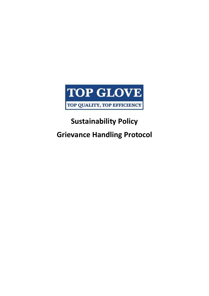

## **Sustainability Policy Grievance Handling Protocol**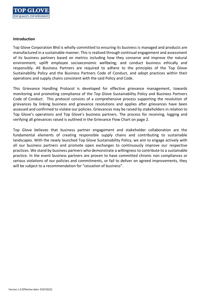

## **Introduction**

Top Glove Corporation Bhd is wholly committed to ensuring its business is managed and products are manufactured in a sustainable manner. This is realised through continual engagement and assessment of its business partners based on metrics including how they conserve and improve the natural environment; uplift employee socioeconomic wellbeing; and conduct business ethically and responsibly. All Business Partners are required to adhere to the principles of the Top Glove Sustainability Policy and the Business Partners Code of Conduct, and adopt practices within their operations and supply chains consistent with the said Policy and Code.

This Grievance Handling Protocol is developed for effective grievance management, towards monitoring and promoting compliance of the Top Glove Sustainability Policy and Business Partners Code of Conduct. This protocol consists of a comprehensive process supporting the resolution of grievances by linking business and grievance resolutions and applies after grievances have been assessed and confirmed to violate our policies. Grievances may be raised by stakeholders in relation to Top Glove's operations and Top Glove's business partners. The process for receiving, logging and verifying all grievances raised is outlined in the Grievance Flow Chart on page 2.

Top Glove believes that business partner engagement and stakeholder collaboration are the fundamental elements of creating responsible supply chains and contributing to sustainable landscapes. With the newly launched Top Glove Sustainability Policy, we aim to engage actively with all our business partners and promote open exchanges to continuously improve our respective practices. We stand by business partners who demonstrate a willingness to contribute to a sustainable practice. In the event business partners are proven to have committed chronic non compliances or serious violations of our policies and commitments, or fail to deliver on agreed improvements, they will be subject to a recommendation for "cessation of business".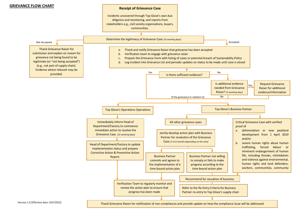

Thank Grievance Raiser for notification of non compliances and provide update on how the compliance issue will be addressed